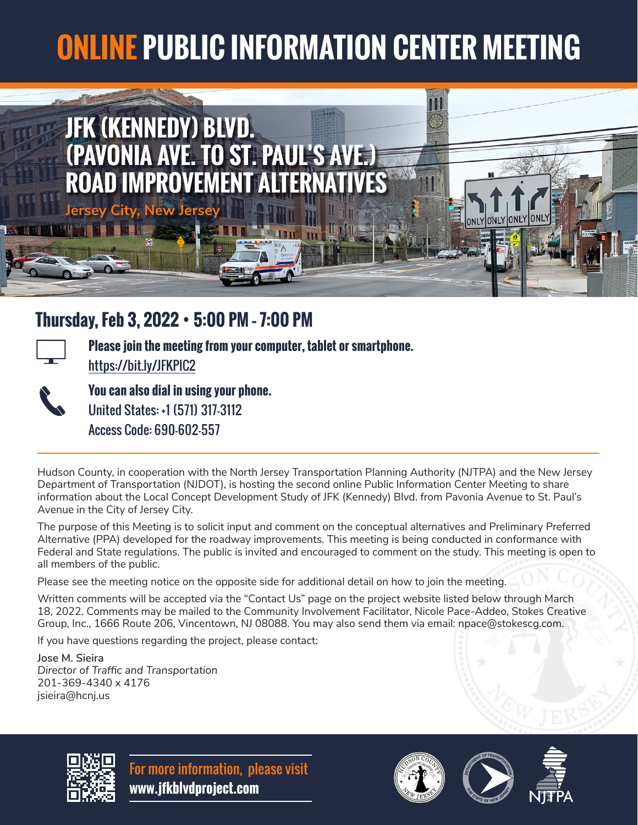## **ONLINE PUBLIC INFORMATION CENTER MEETING**



## **Thursday, Feb 3, 2022** • **5:00 PM – 7:00 PM**



**Please join the meeting from your computer, tablet or smartphone.**  https://bit.ly/JFKPIC2



**You can also dial in using your phone.**  United States: +1 (571) 317-3112 Access Code: 690-602-557

Hudson County, in cooperation with the North Jersey Transportation Planning Authority (NJTPA) and the New Jersey Department of Transportation (NJDOT), is hosting the second online Public Information Center Meeting to share information about the Local Concept Development Study of JFK (Kennedy) Blvd. from Pavonia Avenue to St. Paul's Avenue in the City of Jersey City.

The purpose of this Meeting is to solicit input and comment on the conceptual alternatives and Preliminary Preferred Alternative (PPA) developed for the roadway improvements. This meeting is being conducted in conformance with Federal and State regulations. The public is invited and encouraged to comment on the study. This meeting is open to all members of the public.

Please see the meeting notice on the opposite side for additional detail on how to join the meeting.

Written comments will be accepted via the "Contact Us" page on the project website listed below through March 18, 2022. Comments may be mailed to the Community Involvement Facilitator, Nicole Pace-Addeo, Stokes Creative Group, Inc., 1666 Route 206, Vincentown, NJ 08088. You may also send them via email: npace@stokescg.com.

If you have questions regarding the project, please contact:

**Jose M. Sieira** *Director of Traffic and Transportation* 201-369-4340 x 4176 jsieira@hcnj.us



For more information, please visit **www.jfkblvdproject.com**